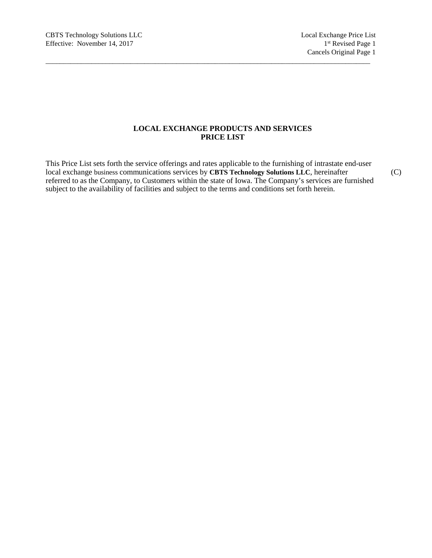# **LOCAL EXCHANGE PRODUCTS AND SERVICES PRICE LIST**

This Price List sets forth the service offerings and rates applicable to the furnishing of intrastate end-user local exchange business communications services by **CBTS Technology Solutions LLC**, hereinafter (C) referred to as the Company, to Customers within the state of Iowa. The Company's services are furnished subject to the availability of facilities and subject to the terms and conditions set forth herein.

 $\_$  ,  $\_$  ,  $\_$  ,  $\_$  ,  $\_$  ,  $\_$  ,  $\_$  ,  $\_$  ,  $\_$  ,  $\_$  ,  $\_$  ,  $\_$  ,  $\_$  ,  $\_$  ,  $\_$  ,  $\_$  ,  $\_$  ,  $\_$  ,  $\_$  ,  $\_$  ,  $\_$  ,  $\_$  ,  $\_$  ,  $\_$  ,  $\_$  ,  $\_$  ,  $\_$  ,  $\_$  ,  $\_$  ,  $\_$  ,  $\_$  ,  $\_$  ,  $\_$  ,  $\_$  ,  $\_$  ,  $\_$  ,  $\_$  ,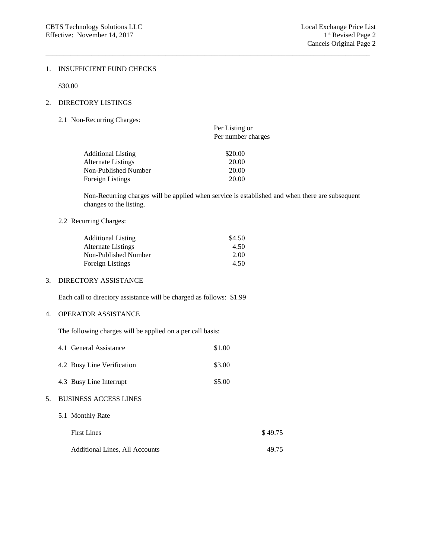#### 1. INSUFFICIENT FUND CHECKS

\$30.00

# 2. DIRECTORY LISTINGS

2.1 Non-Recurring Charges:

|                           | Per Listing or<br>Per number charges |  |
|---------------------------|--------------------------------------|--|
| <b>Additional Listing</b> | \$20.00                              |  |
| Alternate Listings        | 20.00                                |  |
| Non-Published Number      | 20.00                                |  |
| Foreign Listings          | 20.00                                |  |
|                           |                                      |  |

Non-Recurring charges will be applied when service is established and when there are subsequent changes to the listing.

 $\_$  ,  $\_$  ,  $\_$  ,  $\_$  ,  $\_$  ,  $\_$  ,  $\_$  ,  $\_$  ,  $\_$  ,  $\_$  ,  $\_$  ,  $\_$  ,  $\_$  ,  $\_$  ,  $\_$  ,  $\_$  ,  $\_$  ,  $\_$  ,  $\_$  ,  $\_$  ,  $\_$  ,  $\_$  ,  $\_$  ,  $\_$  ,  $\_$  ,  $\_$  ,  $\_$  ,  $\_$  ,  $\_$  ,  $\_$  ,  $\_$  ,  $\_$  ,  $\_$  ,  $\_$  ,  $\_$  ,  $\_$  ,  $\_$  ,

#### 2.2 Recurring Charges:

| <b>Additional Listing</b> | \$4.50 |
|---------------------------|--------|
| Alternate Listings        | 4.50   |
| Non-Published Number      | 2.00   |
| Foreign Listings          | 4.50   |

# 3. DIRECTORY ASSISTANCE

Each call to directory assistance will be charged as follows: \$1.99

# 4. OPERATOR ASSISTANCE

The following charges will be applied on a per call basis:

|    | 4.1 General Assistance                | \$1.00 |         |
|----|---------------------------------------|--------|---------|
|    | 4.2 Busy Line Verification            | \$3.00 |         |
|    | 4.3 Busy Line Interrupt               | \$5.00 |         |
| 5. | <b>BUSINESS ACCESS LINES</b>          |        |         |
|    | 5.1 Monthly Rate                      |        |         |
|    | <b>First Lines</b>                    |        | \$49.75 |
|    | <b>Additional Lines, All Accounts</b> |        | 49 75   |